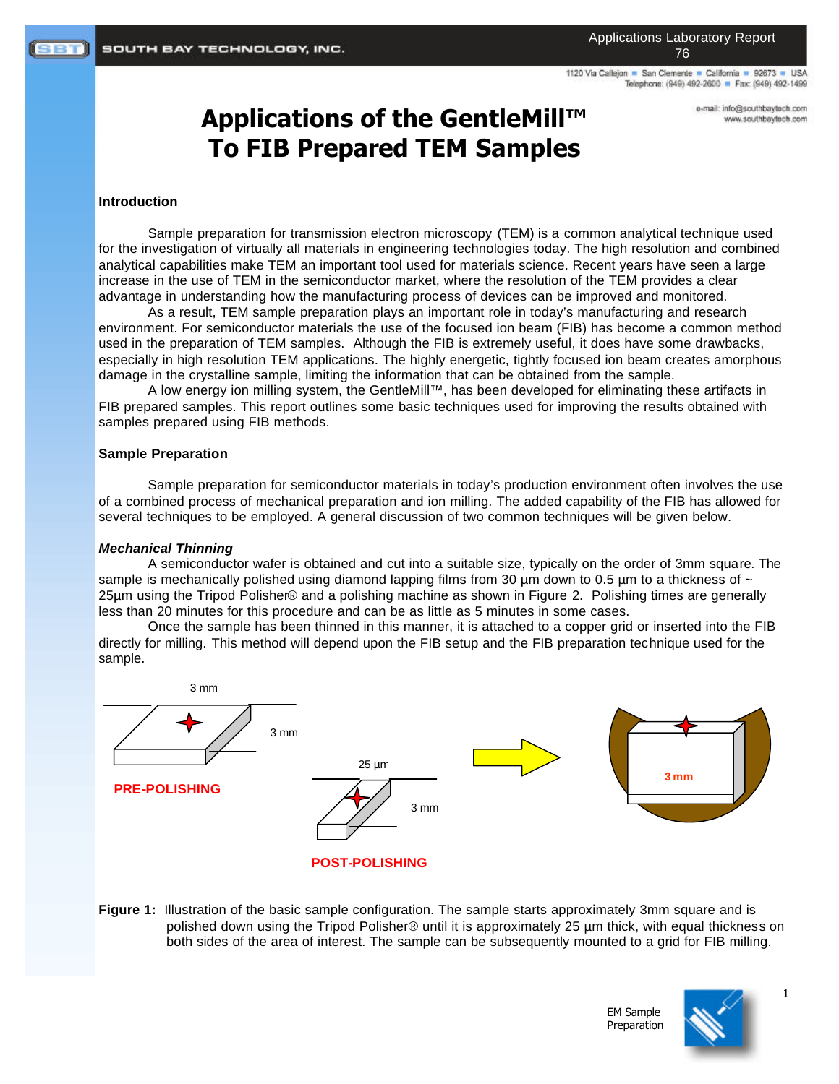1120 Via Callejon · San Clemente · California · 92673 · USA Telephone: (949) 492-2600 P Fax: (949) 492-1499

# **Applications of the GentleMill™ To FIB Prepared TEM Samples**

e-mail: info@southbaytech.com www.southbaytech.com

#### **Introduction**

Sample preparation for transmission electron microscopy (TEM) is a common analytical technique used for the investigation of virtually all materials in engineering technologies today. The high resolution and combined analytical capabilities make TEM an important tool used for materials science. Recent years have seen a large increase in the use of TEM in the semiconductor market, where the resolution of the TEM provides a clear advantage in understanding how the manufacturing process of devices can be improved and monitored.

As a result, TEM sample preparation plays an important role in today's manufacturing and research environment. For semiconductor materials the use of the focused ion beam (FIB) has become a common method used in the preparation of TEM samples. Although the FIB is extremely useful, it does have some drawbacks, especially in high resolution TEM applications. The highly energetic, tightly focused ion beam creates amorphous damage in the crystalline sample, limiting the information that can be obtained from the sample.

A low energy ion milling system, the GentleMill™, has been developed for eliminating these artifacts in FIB prepared samples. This report outlines some basic techniques used for improving the results obtained with samples prepared using FIB methods.

#### **Sample Preparation**

Sample preparation for semiconductor materials in today's production environment often involves the use of a combined process of mechanical preparation and ion milling. The added capability of the FIB has allowed for several techniques to be employed. A general discussion of two common techniques will be given below.

#### *Mechanical Thinning*

A semiconductor wafer is obtained and cut into a suitable size, typically on the order of 3mm square. The sample is mechanically polished using diamond lapping films from 30  $\mu$ m down to 0.5  $\mu$ m to a thickness of  $\sim$ 25µm using the Tripod Polisher® and a polishing machine as shown in Figure 2. Polishing times are generally less than 20 minutes for this procedure and can be as little as 5 minutes in some cases.

Once the sample has been thinned in this manner, it is attached to a copper grid or inserted into the FIB directly for milling. This method will depend upon the FIB setup and the FIB preparation technique used for the sample.



**Figure 1:** Illustration of the basic sample configuration. The sample starts approximately 3mm square and is polished down using the Tripod Polisher® until it is approximately 25 µm thick, with equal thickness on both sides of the area of interest. The sample can be subsequently mounted to a grid for FIB milling.

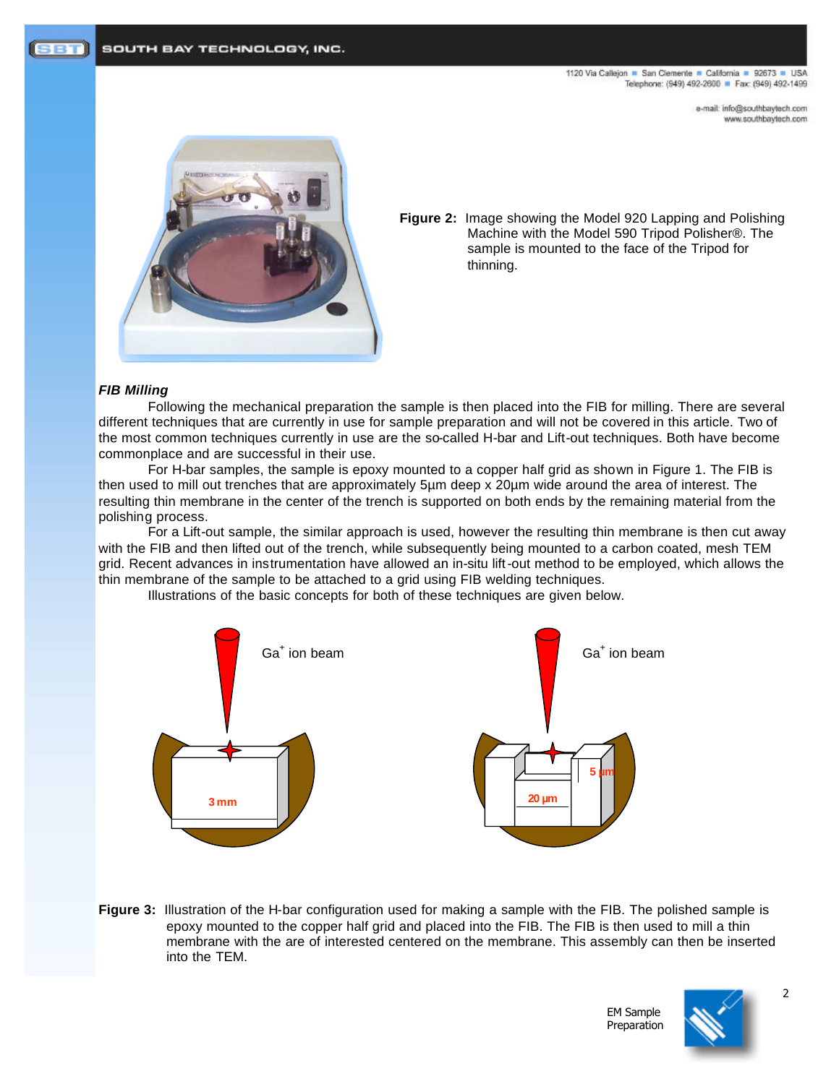1120 Via Callejon = San Clemente = California = 92673 = USA Telephone: (949) 492-2600 P Fax: (949) 492-1499

> e-mail: info@southbaytech.com www.southbaytech.com



**Figure 2:** Image showing the Model 920 Lapping and Polishing Machine with the Model 590 Tripod Polisher®. The sample is mounted to the face of the Tripod for thinning.

# *FIB Milling*

Following the mechanical preparation the sample is then placed into the FIB for milling. There are several different techniques that are currently in use for sample preparation and will not be covered in this article. Two of the most common techniques currently in use are the so-called H-bar and Lift-out techniques. Both have become commonplace and are successful in their use.

For H-bar samples, the sample is epoxy mounted to a copper half grid as shown in Figure 1. The FIB is then used to mill out trenches that are approximately 5µm deep x 20µm wide around the area of interest. The resulting thin membrane in the center of the trench is supported on both ends by the remaining material from the polishing process.

For a Lift-out sample, the similar approach is used, however the resulting thin membrane is then cut away with the FIB and then lifted out of the trench, while subsequently being mounted to a carbon coated, mesh TEM grid. Recent advances in instrumentation have allowed an in-situ lift-out method to be employed, which allows the thin membrane of the sample to be attached to a grid using FIB welding techniques.

Illustrations of the basic concepts for both of these techniques are given below.



**Figure 3:** Illustration of the H-bar configuration used for making a sample with the FIB. The polished sample is epoxy mounted to the copper half grid and placed into the FIB. The FIB is then used to mill a thin membrane with the are of interested centered on the membrane. This assembly can then be inserted into the TEM.



EM Sample Preparation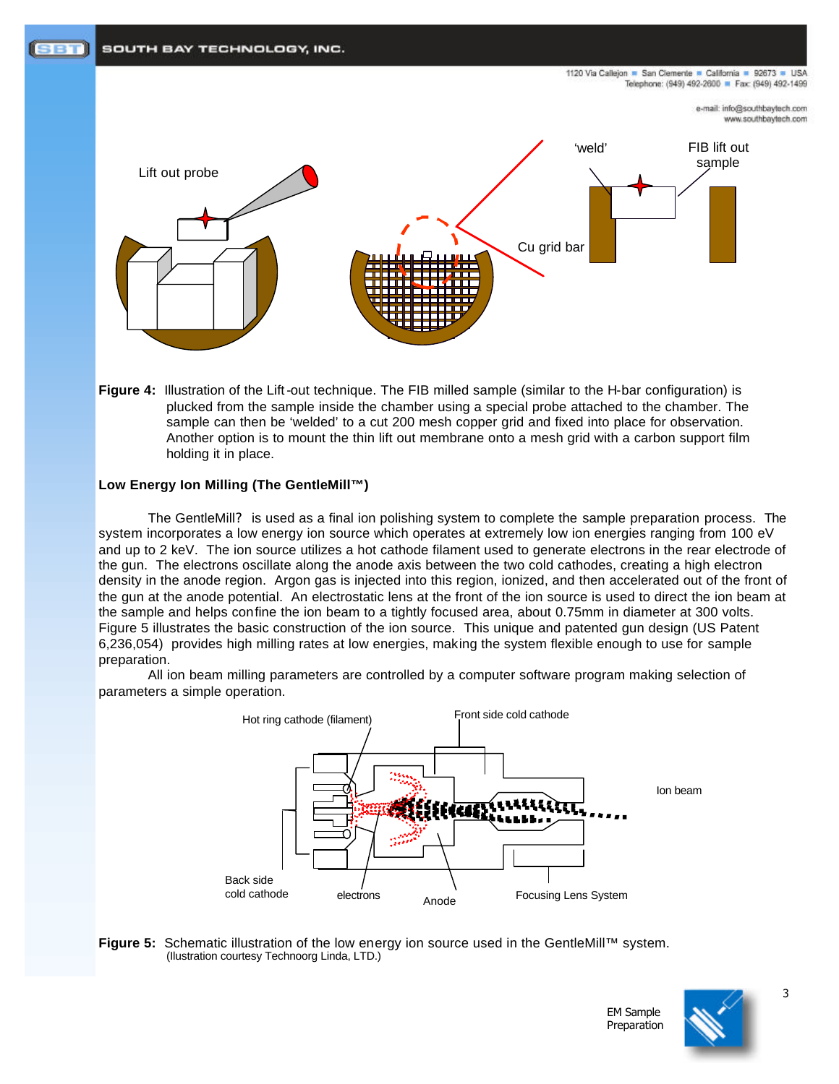

**Figure 4:** Illustration of the Lift-out technique. The FIB milled sample (similar to the H-bar configuration) is plucked from the sample inside the chamber using a special probe attached to the chamber. The sample can then be 'welded' to a cut 200 mesh copper grid and fixed into place for observation. Another option is to mount the thin lift out membrane onto a mesh grid with a carbon support film holding it in place.

# **Low Energy Ion Milling (The GentleMill™)**

The GentleMill? is used as a final ion polishing system to complete the sample preparation process. The system incorporates a low energy ion source which operates at extremely low ion energies ranging from 100 eV and up to 2 keV. The ion source utilizes a hot cathode filament used to generate electrons in the rear electrode of the gun. The electrons oscillate along the anode axis between the two cold cathodes, creating a high electron density in the anode region. Argon gas is injected into this region, ionized, and then accelerated out of the front of the gun at the anode potential. An electrostatic lens at the front of the ion source is used to direct the ion beam at the sample and helps confine the ion beam to a tightly focused area, about 0.75mm in diameter at 300 volts. Figure 5 illustrates the basic construction of the ion source. This unique and patented gun design (US Patent 6,236,054) provides high milling rates at low energies, making the system flexible enough to use for sample preparation.

All ion beam milling parameters are controlled by a computer software program making selection of parameters a simple operation.



**Figure 5:** Schematic illustration of the low energy ion source used in the GentleMill™ system. (Ilustration courtesy Technoorg Linda, LTD.)



EM Sample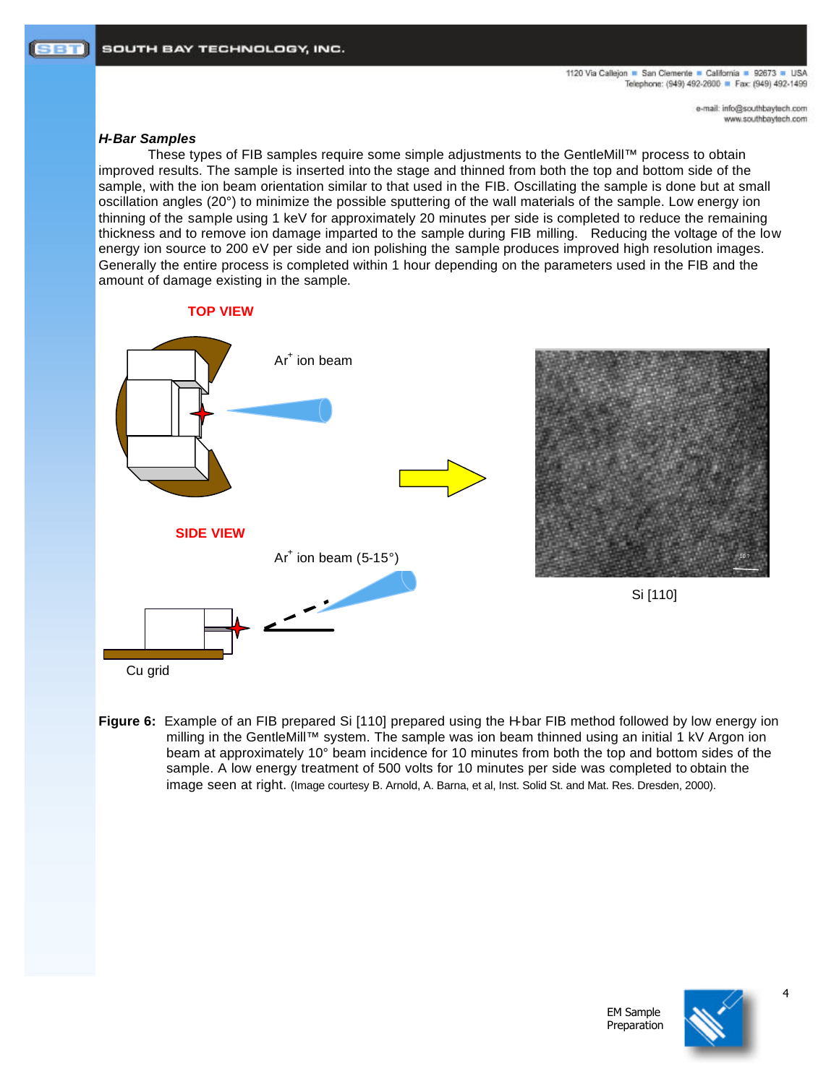e-mail: info@southbaytech.com www.southbaytech.com

## *H-Bar Samples*

These types of FIB samples require some simple adjustments to the GentleMill™ process to obtain improved results. The sample is inserted into the stage and thinned from both the top and bottom side of the sample, with the ion beam orientation similar to that used in the FIB. Oscillating the sample is done but at small oscillation angles (20°) to minimize the possible sputtering of the wall materials of the sample. Low energy ion thinning of the sample using 1 keV for approximately 20 minutes per side is completed to reduce the remaining thickness and to remove ion damage imparted to the sample during FIB milling. Reducing the voltage of the low energy ion source to 200 eV per side and ion polishing the sample produces improved high resolution images. Generally the entire process is completed within 1 hour depending on the parameters used in the FIB and the amount of damage existing in the sample.

# **TOP VIEW**



**Figure 6:** Example of an FIB prepared Si [110] prepared using the H-bar FIB method followed by low energy ion milling in the GentleMill™ system. The sample was ion beam thinned using an initial 1 kV Argon ion beam at approximately 10° beam incidence for 10 minutes from both the top and bottom sides of the sample. A low energy treatment of 500 volts for 10 minutes per side was completed to obtain the image seen at right. (Image courtesy B. Arnold, A. Barna, et al, Inst. Solid St. and Mat. Res. Dresden, 2000).

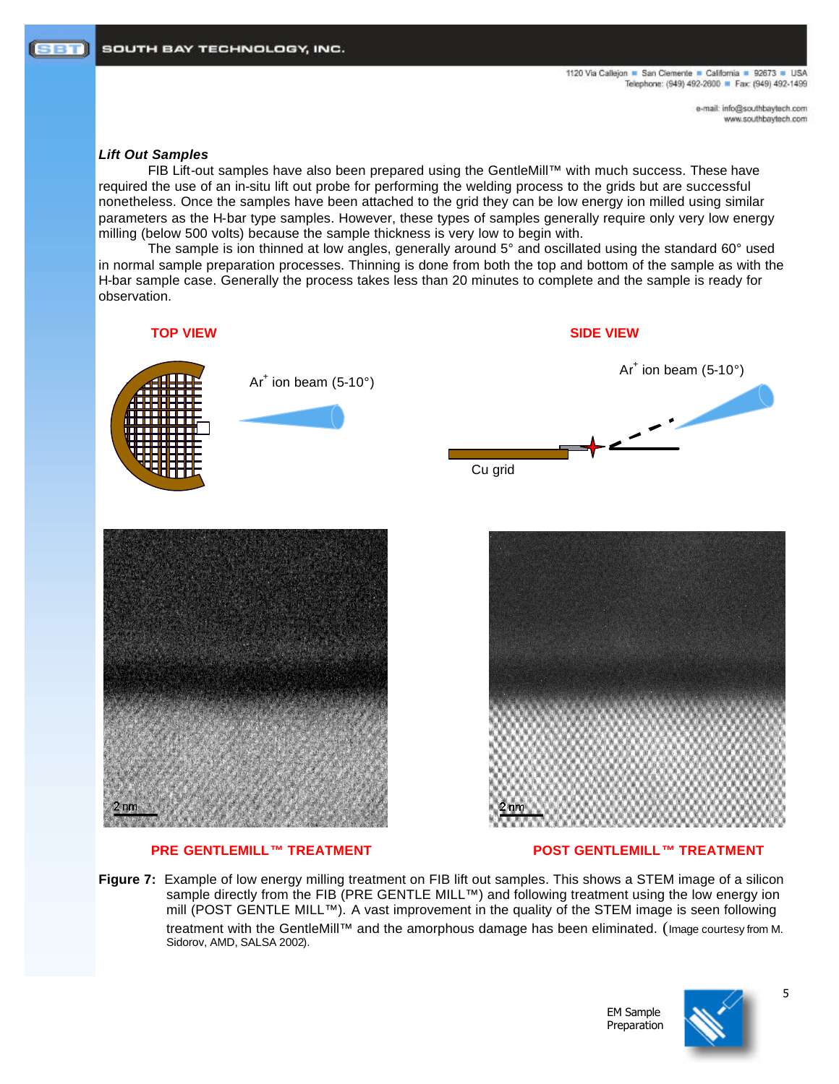e-mail: info@southbaytech.com www.southbaytech.com

#### *Lift Out Samples*

FIB Lift-out samples have also been prepared using the GentleMill™ with much success. These have required the use of an in-situ lift out probe for performing the welding process to the grids but are successful nonetheless. Once the samples have been attached to the grid they can be low energy ion milled using similar parameters as the H-bar type samples. However, these types of samples generally require only very low energy milling (below 500 volts) because the sample thickness is very low to begin with.

The sample is ion thinned at low angles, generally around 5° and oscillated using the standard 60° used in normal sample preparation processes. Thinning is done from both the top and bottom of the sample as with the H-bar sample case. Generally the process takes less than 20 minutes to complete and the sample is ready for observation.



## **PRE GENTLEMILL™ TREATMENT 
WE GENTLEMILL™ TREATMENT**

**Figure 7:** Example of low energy milling treatment on FIB lift out samples. This shows a STEM image of a silicon sample directly from the FIB (PRE GENTLE MILL™) and following treatment using the low energy ion mill (POST GENTLE MILL™). A vast improvement in the quality of the STEM image is seen following treatment with the GentleMill™ and the amorphous damage has been eliminated. (Image courtesy from M. Sidorov, AMD, SALSA 2002).